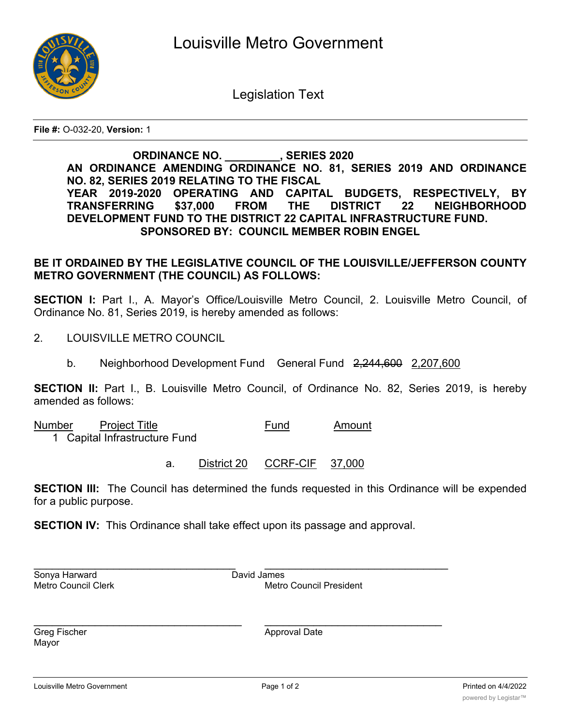

Legislation Text

**File #:** O-032-20, **Version:** 1

## **ORDINANCE NO. \_\_\_\_\_\_\_\_\_, SERIES 2020 AN ORDINANCE AMENDING ORDINANCE NO. 81, SERIES 2019 AND ORDINANCE NO. 82, SERIES 2019 RELATING TO THE FISCAL YEAR 2019-2020 OPERATING AND CAPITAL BUDGETS, RESPECTIVELY, BY TRANSFERRING \$37,000 FROM THE DISTRICT 22 NEIGHBORHOOD DEVELOPMENT FUND TO THE DISTRICT 22 CAPITAL INFRASTRUCTURE FUND. SPONSORED BY: COUNCIL MEMBER ROBIN ENGEL**

## **BE IT ORDAINED BY THE LEGISLATIVE COUNCIL OF THE LOUISVILLE/JEFFERSON COUNTY METRO GOVERNMENT (THE COUNCIL) AS FOLLOWS:**

**SECTION I:** Part I., A. Mayor's Office/Louisville Metro Council, 2. Louisville Metro Council, of Ordinance No. 81, Series 2019, is hereby amended as follows:

- 2. LOUISVILLE METRO COUNCIL
	- b. Neighborhood Development Fund General Fund 2,244,600 2,207,600

**SECTION II:** Part I., B. Louisville Metro Council, of Ordinance No. 82, Series 2019, is hereby amended as follows:

Number Project Title **Fund** Amount

1 Capital Infrastructure Fund

a. District 20 CCRF-CIF 37,000

**SECTION III:** The Council has determined the funds requested in this Ordinance will be expended for a public purpose.

**SECTION IV:** This Ordinance shall take effect upon its passage and approval.

\_\_\_\_\_\_\_\_\_\_\_\_\_\_\_\_\_\_\_\_\_\_\_\_\_\_\_\_\_\_\_\_\_\_ \_\_\_\_\_\_\_\_\_\_\_\_\_\_\_\_\_\_\_\_\_\_\_\_\_\_\_\_\_

\_\_\_\_\_\_\_\_\_\_\_\_\_\_\_\_\_\_\_\_\_\_\_\_\_\_\_\_\_\_\_\_\_ \_\_\_\_\_\_\_\_\_\_\_\_\_\_\_\_\_\_\_\_\_\_\_\_\_\_\_\_\_\_ Sonya Harward David James

Metro Council Clerk Metro Council President

Mayor

Greg Fischer Approval Date